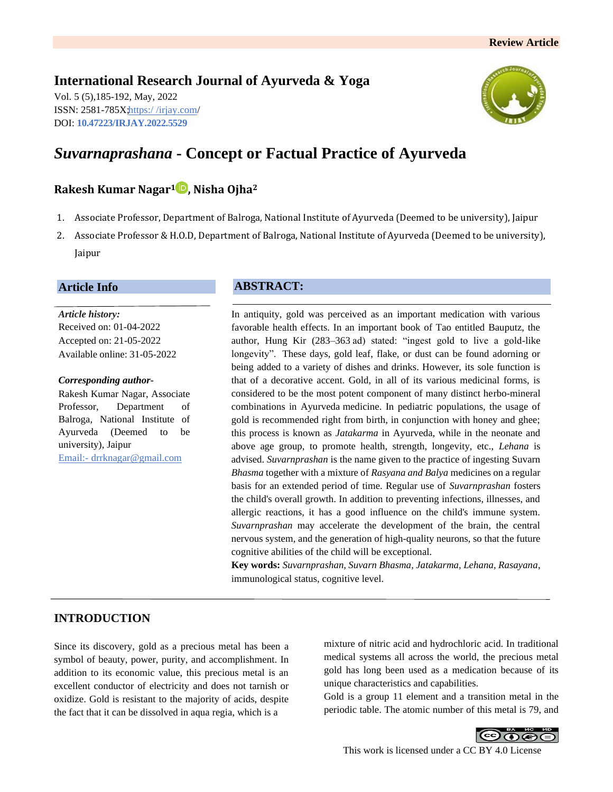# **International Research Journal of Ayurveda & Yoga**

Vol. 5 (5),185-192, May, 2022 ISSN: 2581-785X; https:/ [/irjay.com/](https://irjay.com/) DOI: **10.47223/IRJAY.2022.5529**



# *Suvarnaprashana* **- Concept or Factual Practice of Ayurveda**

# **Rakesh Kumar Nagar<sup>1</sup> , Nisha Ojha<sup>2</sup>**

- 1. Associate Professor, Department of Balroga, National Institute of Ayurveda (Deemed to be university), Jaipur
- 2. Associate Professor & H.O.D, Department of Balroga, National Institute of Ayurveda (Deemed to be university), Jaipur

## **Article Info**

*Article history:* Received on: 01-04-2022 Accepted on: 21-05-2022 Available online: 31-05-2022

#### *Corresponding author-*

Rakesh Kumar Nagar, Associate Professor, Department of Balroga, National Institute of Ayurveda (Deemed to be university), Jaipur Email:- drrknagar@gmail.com

## **ABSTRACT:**

In antiquity, gold was perceived as an important medication with various favorable health effects. In an important book of Tao entitled Bauputz, the author, Hung Kir (283–363 ad) stated: "ingest gold to live a gold-like longevity". These days, gold leaf, flake, or dust can be found adorning or being added to a variety of dishes and drinks. However, its sole function is that of a decorative accent. Gold, in all of its various medicinal forms, is considered to be the most potent component of many distinct herbo-mineral combinations in Ayurveda medicine. In pediatric populations, the usage of gold is recommended right from birth, in conjunction with honey and ghee; this process is known as *Jatakarma* in Ayurveda, while in the neonate and above age group, to promote health, strength, longevity, etc., *Lehana* is advised. *Suvarnprashan* is the name given to the practice of ingesting Suvarn *Bhasma* together with a mixture of *Rasyana and Balya* medicines on a regular basis for an extended period of time. Regular use of *Suvarnprashan* fosters the child's overall growth. In addition to preventing infections, illnesses, and allergic reactions, it has a good influence on the child's immune system. *Suvarnprashan* may accelerate the development of the brain, the central nervous system, and the generation of high-quality neurons, so that the future cognitive abilities of the child will be exceptional.

**Key words:** *Suvarnprashan, Suvarn Bhasma, Jatakarma, Lehana, Rasayana*, immunological status, cognitive level.

## **INTRODUCTION**

Since its discovery, gold as a precious metal has been a symbol of beauty, power, purity, and accomplishment. In addition to its economic value, this precious metal is an excellent conductor of electricity and does not tarnish or oxidize. Gold is resistant to the majority of acids, despite the fact that it can be dissolved in aqua regia, which is a

mixture of nitric acid and hydrochloric acid. In traditional medical systems all across the world, the precious metal gold has long been used as a medication because of its unique characteristics and capabilities.

Gold is a group 11 element and a transition metal in the periodic table. The atomic number of this metal is 79, and

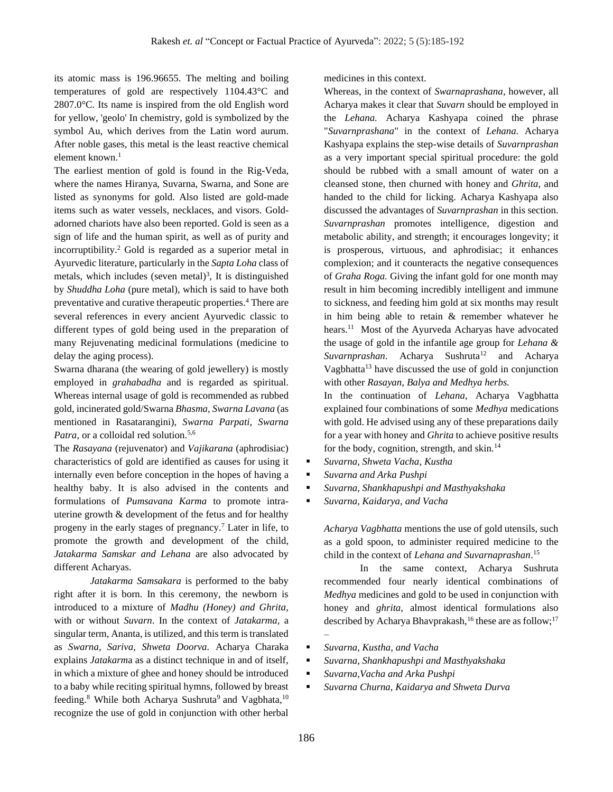its atomic mass is 196.96655. The melting and boiling temperatures of gold are respectively 1104.43°C and 2807.0°C. Its name is inspired from the old English word for yellow, 'geolo' In chemistry, gold is symbolized by the symbol Au, which derives from the Latin word aurum. After noble gases, this metal is the least reactive chemical element known. $<sup>1</sup>$ </sup>

The earliest mention of gold is found in the Rig-Veda, where the names Hiranya, Suvarna, Swarna, and Sone are listed as synonyms for gold. Also listed are gold-made items such as water vessels, necklaces, and visors. Goldadorned chariots have also been reported. Gold is seen as a sign of life and the human spirit, as well as of purity and incorruptibility. <sup>2</sup> Gold is regarded as a superior metal in Ayurvedic literature, particularly in the *Sapta Loha* class of metals, which includes (seven metal)<sup>3</sup>, It is distinguished by *Shuddha Loha* (pure metal), which is said to have both preventative and curative therapeutic properties.<sup>4</sup> There are several references in every ancient Ayurvedic classic to different types of gold being used in the preparation of many Rejuvenating medicinal formulations (medicine to delay the aging process).

Swarna dharana (the wearing of gold jewellery) is mostly employed in *grahabadha* and is regarded as spiritual. Whereas internal usage of gold is recommended as rubbed gold, incinerated gold/Swarna *Bhasma, Swarna Lavana* (as mentioned in Rasatarangini), *Swarna Parpati, Swarna* Patra, or a colloidal red solution.<sup>5,6</sup>

The *Rasayana* (rejuvenator) and *Vajikarana* (aphrodisiac) characteristics of gold are identified as causes for using it internally even before conception in the hopes of having a healthy baby. It is also advised in the contents and formulations of *Pumsavana Karma* to promote intrauterine growth & development of the fetus and for healthy progeny in the early stages of pregnancy.<sup>7</sup> Later in life, to promote the growth and development of the child, *Jatakarma Samskar and Lehana* are also advocated by different Acharyas.

*Jatakarma Samsakara* is performed to the baby right after it is born. In this ceremony, the newborn is introduced to a mixture of *Madhu (Honey) and Ghrita*, with or without *Suvarn*. In the context of *Jatakarma,* a singular term, Ananta, is utilized, and this term is translated as *Swarna, Sariva, Shweta Doorva.* Acharya Charaka explains *Jatakarm*a as a distinct technique in and of itself, in which a mixture of ghee and honey should be introduced to a baby while reciting spiritual hymns, followed by breast feeding.<sup>8</sup> While both Acharya Sushruta<sup>9</sup> and Vagbhata,<sup>10</sup> recognize the use of gold in conjunction with other herbal medicines in this context.

Whereas, in the context of *Swarnaprashana*, however, all Acharya makes it clear that *Suvarn* should be employed in the *Lehana.* Acharya Kashyapa coined the phrase "*Suvarnprashana*" in the context of *Lehana.* Acharya Kashyapa explains the step-wise details of *Suvarnprashan*  as a very important special spiritual procedure: the gold should be rubbed with a small amount of water on a cleansed stone, then churned with honey and *Ghrita*, and handed to the child for licking. Acharya Kashyapa also discussed the advantages of *Suvarnprashan* in this section. *Suvarnprashan* promotes intelligence, digestion and metabolic ability, and strength; it encourages longevity; it is prosperous, virtuous, and aphrodisiac; it enhances complexion; and it counteracts the negative consequences of *Graha Roga.* Giving the infant gold for one month may result in him becoming incredibly intelligent and immune to sickness, and feeding him gold at six months may result in him being able to retain & remember whatever he hears.<sup>11</sup> Most of the Ayurveda Acharyas have advocated the usage of gold in the infantile age group for *Lehana & Suvarnprashan*. Acharya Sushruta<sup>12</sup> and Acharya Vagbhatta $13$  have discussed the use of gold in conjunction with other *Rasayan, Balya and Medhya herbs.*

In the continuation of *Lehana,* Acharya Vagbhatta explained four combinations of some *Medhya* medications with gold. He advised using any of these preparations daily for a year with honey and *Ghrita* to achieve positive results for the body, cognition, strength, and skin. $14$ 

- *Suvarna, Shweta Vacha, Kustha*
- *Suvarna and Arka Pushpi*
- *Suvarna, Shankhapushpi and Masthyakshaka*
- *Suvarna, Kaidarya, and Vacha*

*Acharya Vagbhatta* mentions the use of gold utensils, such as a gold spoon, to administer required medicine to the child in the context of *Lehana and Suvarnaprashan*. 15

In the same context, Acharya Sushruta recommended four nearly identical combinations of *Medhya* medicines and gold to be used in conjunction with honey and *ghrita,* almost identical formulations also described by Acharya Bhavprakash,<sup>16</sup> these are as follow;<sup>17</sup> –

- *Suvarna, Kustha, and Vacha*
- *Suvarna, Shankhapushpi and Masthyakshaka*
- *Suvarna,Vacha and Arka Pushpi*
- *Suvarna Churna, Kaidarya and Shweta Durva*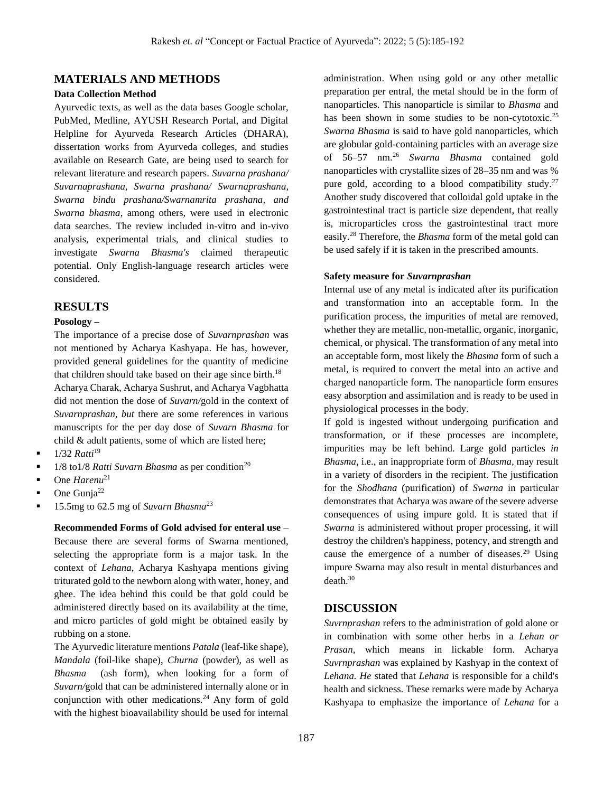## **MATERIALS AND METHODS**

#### **Data Collection Method**

Ayurvedic texts, as well as the data bases Google scholar, PubMed, Medline, AYUSH Research Portal, and Digital Helpline for Ayurveda Research Articles (DHARA), dissertation works from Ayurveda colleges, and studies available on Research Gate, are being used to search for relevant literature and research papers. *Suvarna prashana/ Suvarnaprashana, Swarna prashana/ Swarnaprashana, Swarna bindu prashana/Swarnamrita prashana, and Swarna bhasma*, among others, were used in electronic data searches. The review included in-vitro and in-vivo analysis, experimental trials, and clinical studies to investigate *Swarna Bhasma's* claimed therapeutic potential. Only English-language research articles were considered.

#### **RESULTS**

#### **Posology –**

The importance of a precise dose of *Suvarnprashan* was not mentioned by Acharya Kashyapa. He has, however, provided general guidelines for the quantity of medicine that children should take based on their age since birth.<sup>18</sup> Acharya Charak, Acharya Sushrut, and Acharya Vagbhatta did not mention the dose of *Suvarn/*gold in the context of *Suvarnprashan, but* there are some references in various manuscripts for the per day dose of *Suvarn Bhasma* for child & adult patients, some of which are listed here;

- 1/32 *Ratti*<sup>19</sup>
- $\blacksquare$  1/8 to 1/8 *Ratti Suvarn Bhasma* as per condition<sup>20</sup>
- One *Harenu*<sup>21</sup>
- One Gunja<sup>22</sup>
- 15.5mg to 62.5 mg of *Suvarn Bhasma*<sup>23</sup>

**Recommended Forms of Gold advised for enteral use** – Because there are several forms of Swarna mentioned, selecting the appropriate form is a major task. In the context of *Lehana*, Acharya Kashyapa mentions giving triturated gold to the newborn along with water, honey, and ghee. The idea behind this could be that gold could be administered directly based on its availability at the time, and micro particles of gold might be obtained easily by rubbing on a stone.

The Ayurvedic literature mentions *Patala* (leaf-like shape), *Mandala* (foil-like shape), *Churna* (powder), as well as *Bhasma* (ash form), when looking for a form of *Suvarn/*gold that can be administered internally alone or in conjunction with other medications.<sup>24</sup> Any form of gold with the highest bioavailability should be used for internal administration. When using gold or any other metallic preparation per entral, the metal should be in the form of nanoparticles. This nanoparticle is similar to *Bhasma* and has been shown in some studies to be non-cytotoxic.<sup>25</sup> *Swarna Bhasma* is said to have gold nanoparticles, which are globular gold-containing particles with an average size of 56–57 nm.<sup>26</sup> *Swarna Bhasma* contained gold nanoparticles with crystallite sizes of 28–35 nm and was % pure gold, according to a blood compatibility study.<sup>27</sup> Another study discovered that colloidal gold uptake in the gastrointestinal tract is particle size dependent, that really is, microparticles cross the gastrointestinal tract more easily.<sup>28</sup> Therefore, the *Bhasma* form of the metal gold can be used safely if it is taken in the prescribed amounts.

#### **Safety measure for** *Suvarnprashan*

Internal use of any metal is indicated after its purification and transformation into an acceptable form. In the purification process, the impurities of metal are removed, whether they are metallic, non-metallic, organic, inorganic, chemical, or physical. The transformation of any metal into an acceptable form, most likely the *Bhasma* form of such a metal, is required to convert the metal into an active and charged nanoparticle form. The nanoparticle form ensures easy absorption and assimilation and is ready to be used in physiological processes in the body.

If gold is ingested without undergoing purification and transformation, or if these processes are incomplete, impurities may be left behind. Large gold particles *in Bhasma,* i.e., an inappropriate form of *Bhasma,* may result in a variety of disorders in the recipient. The justification for the *Shodhana* (purification) of *Swarna* in particular demonstrates that Acharya was aware of the severe adverse consequences of using impure gold. It is stated that if *Swarna* is administered without proper processing, it will destroy the children's happiness, potency, and strength and cause the emergence of a number of diseases.<sup>29</sup> Using impure Swarna may also result in mental disturbances and death.<sup>30</sup>

#### **DISCUSSION**

*Suvrnprashan* refers to the administration of gold alone or in combination with some other herbs in a *Lehan or Prasan*, which means in lickable form. Acharya *Suvrnprashan* was explained by Kashyap in the context of *Lehana. He* stated that *Lehana* is responsible for a child's health and sickness. These remarks were made by Acharya Kashyapa to emphasize the importance of *Lehana* for a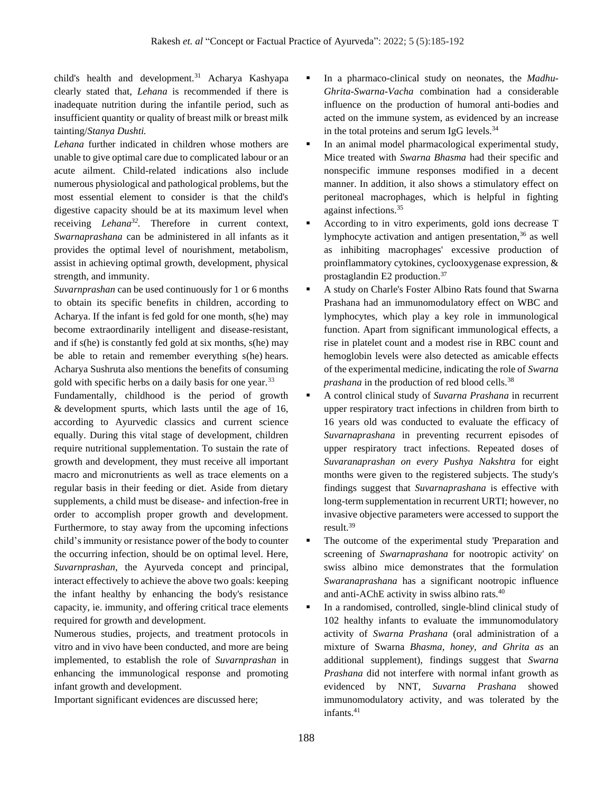child's health and development.<sup>31</sup> Acharya Kashyapa clearly stated that, *Lehana* is recommended if there is inadequate nutrition during the infantile period, such as insufficient quantity or quality of breast milk or breast milk tainting/*Stanya Dushti.* 

*Lehana* further indicated in children whose mothers are unable to give optimal care due to complicated labour or an acute ailment. Child-related indications also include numerous physiological and pathological problems, but the most essential element to consider is that the child's digestive capacity should be at its maximum level when receiving *Lehana<sup>32</sup> .* Therefore in current context, *Swarnaprashana* can be administered in all infants as it provides the optimal level of nourishment, metabolism, assist in achieving optimal growth, development, physical strength, and immunity.

*Suvarnprashan* can be used continuously for 1 or 6 months to obtain its specific benefits in children, according to Acharya. If the infant is fed gold for one month, s(he) may become extraordinarily intelligent and disease-resistant, and if s(he) is constantly fed gold at six months, s(he) may be able to retain and remember everything s(he) hears. Acharya Sushruta also mentions the benefits of consuming gold with specific herbs on a daily basis for one year.<sup>33</sup>

Fundamentally, childhood is the period of growth & development spurts, which lasts until the age of 16, according to Ayurvedic classics and current science equally. During this vital stage of development, children require nutritional supplementation. To sustain the rate of growth and development, they must receive all important macro and micronutrients as well as trace elements on a regular basis in their feeding or diet. Aside from dietary supplements, a child must be disease- and infection-free in order to accomplish proper growth and development. Furthermore, to stay away from the upcoming infections child's immunity or resistance power of the body to counter the occurring infection, should be on optimal level. Here, *Suvarnprashan,* the Ayurveda concept and principal, interact effectively to achieve the above two goals: keeping the infant healthy by enhancing the body's resistance capacity, ie. immunity, and offering critical trace elements required for growth and development.

Numerous studies, projects, and treatment protocols in vitro and in vivo have been conducted, and more are being implemented, to establish the role of *Suvarnprashan* in enhancing the immunological response and promoting infant growth and development.

Important significant evidences are discussed here;

- In a pharmaco-clinical study on neonates, the *Madhu*-*Ghrita-Swarna-Vacha* combination had a considerable influence on the production of humoral anti-bodies and acted on the immune system, as evidenced by an increase in the total proteins and serum IgG levels.<sup>34</sup>
- **•** In an animal model pharmacological experimental study, Mice treated with *Swarna Bhasma* had their specific and nonspecific immune responses modified in a decent manner. In addition, it also shows a stimulatory effect on peritoneal macrophages, which is helpful in fighting against infections.<sup>35</sup>
- According to in vitro experiments, gold ions decrease T lymphocyte activation and antigen presentation,<sup>36</sup> as well as inhibiting macrophages' excessive production of proinflammatory cytokines, cyclooxygenase expression, & prostaglandin E2 production. 37
- A study on Charle's Foster Albino Rats found that Swarna Prashana had an immunomodulatory effect on WBC and lymphocytes, which play a key role in immunological function. Apart from significant immunological effects, a rise in platelet count and a modest rise in RBC count and hemoglobin levels were also detected as amicable effects of the experimental medicine, indicating the role of *Swarna prashana* in the production of red blood cells.<sup>38</sup>
- A control clinical study of *Suvarna Prashana* in recurrent upper respiratory tract infections in children from birth to 16 years old was conducted to evaluate the efficacy of *Suvarnaprashana* in preventing recurrent episodes of upper respiratory tract infections. Repeated doses of *Suvaranaprashan on every Pushya Nakshtra* for eight months were given to the registered subjects. The study's findings suggest that *Suvarnaprashana* is effective with long-term supplementation in recurrent URTI; however, no invasive objective parameters were accessed to support the result. 39
- The outcome of the experimental study 'Preparation and screening of *Swarnaprashana* for nootropic activity' on swiss albino mice demonstrates that the formulation *Swaranaprashana* has a significant nootropic influence and anti-AChE activity in swiss albino rats.<sup>40</sup>
- In a randomised, controlled, single-blind clinical study of 102 healthy infants to evaluate the immunomodulatory activity of *Swarna Prashana* (oral administration of a mixture of Swarna *Bhasma, honey, and Ghrita as* an additional supplement), findings suggest that *Swarna Prashana* did not interfere with normal infant growth as evidenced by NNT, *Suvarna Prashana* showed immunomodulatory activity, and was tolerated by the infants. 41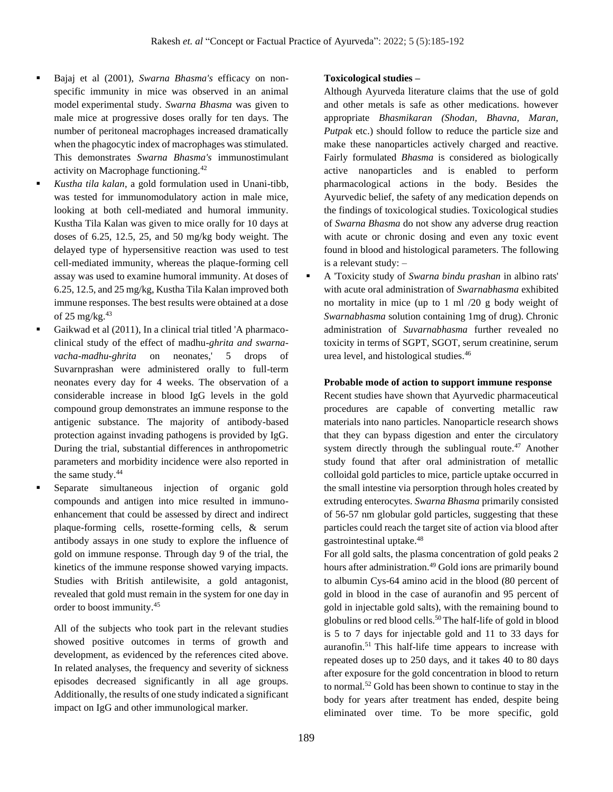- Bajaj et al (2001), *Swarna Bhasma's* efficacy on nonspecific immunity in mice was observed in an animal model experimental study. *Swarna Bhasma* was given to male mice at progressive doses orally for ten days. The number of peritoneal macrophages increased dramatically when the phagocytic index of macrophages was stimulated. This demonstrates *Swarna Bhasma's* immunostimulant activity on Macrophage functioning.<sup>42</sup>
- Kustha tila kalan, a gold formulation used in Unani-tibb, was tested for immunomodulatory action in male mice, looking at both cell-mediated and humoral immunity. Kustha Tila Kalan was given to mice orally for 10 days at doses of 6.25, 12.5, 25, and 50 mg/kg body weight. The delayed type of hypersensitive reaction was used to test cell-mediated immunity, whereas the plaque-forming cell assay was used to examine humoral immunity. At doses of 6.25, 12.5, and 25 mg/kg, Kustha Tila Kalan improved both immune responses. The best results were obtained at a dose of  $25 \text{ mg/kg}.43$ 
	- Gaikwad et al (2011), In a clinical trial titled 'A pharmacoclinical study of the effect of madhu-*ghrita and swarnavacha-madhu-ghrita* on neonates,' 5 drops of Suvarnprashan were administered orally to full-term neonates every day for 4 weeks. The observation of a considerable increase in blood IgG levels in the gold compound group demonstrates an immune response to the antigenic substance. The majority of antibody-based protection against invading pathogens is provided by IgG. During the trial, substantial differences in anthropometric parameters and morbidity incidence were also reported in the same study.<sup>44</sup>
	- Separate simultaneous injection of organic gold compounds and antigen into mice resulted in immunoenhancement that could be assessed by direct and indirect plaque-forming cells, rosette-forming cells, & serum antibody assays in one study to explore the influence of gold on immune response. Through day 9 of the trial, the kinetics of the immune response showed varying impacts. Studies with British antilewisite, a gold antagonist, revealed that gold must remain in the system for one day in order to boost immunity.<sup>45</sup>

All of the subjects who took part in the relevant studies showed positive outcomes in terms of growth and development, as evidenced by the references cited above. In related analyses, the frequency and severity of sickness episodes decreased significantly in all age groups. Additionally, the results of one study indicated a significant impact on IgG and other immunological marker.

#### **Toxicological studies –**

Although Ayurveda literature claims that the use of gold and other metals is safe as other medications. however appropriate *Bhasmikaran (Shodan, Bhavna, Maran, Putpak* etc.) should follow to reduce the particle size and make these nanoparticles actively charged and reactive. Fairly formulated *Bhasma* is considered as biologically active nanoparticles and is enabled to perform pharmacological actions in the body. Besides the Ayurvedic belief, the safety of any medication depends on the findings of toxicological studies. Toxicological studies of *Swarna Bhasma* do not show any adverse drug reaction with acute or chronic dosing and even any toxic event found in blood and histological parameters. The following is a relevant study: –

▪ A 'Toxicity study of *Swarna bindu prashan* in albino rats' with acute oral administration of *Swarnabhasma* exhibited no mortality in mice (up to 1 ml /20 g body weight of *Swarnabhasma* solution containing 1mg of drug). Chronic administration of *Suvarnabhasma* further revealed no toxicity in terms of SGPT, SGOT, serum creatinine, serum urea level, and histological studies.<sup>46</sup>

#### **Probable mode of action to support immune response**

Recent studies have shown that Ayurvedic pharmaceutical procedures are capable of converting metallic raw materials into nano particles. Nanoparticle research shows that they can bypass digestion and enter the circulatory system directly through the sublingual route.<sup>47</sup> Another study found that after oral administration of metallic colloidal gold particles to mice, particle uptake occurred in the small intestine via persorption through holes created by extruding enterocytes. *Swarna Bhasma* primarily consisted of 56-57 nm globular gold particles, suggesting that these particles could reach the target site of action via blood after gastrointestinal uptake.<sup>48</sup>

For all gold salts, the plasma concentration of gold peaks 2 hours after administration.<sup>49</sup> Gold ions are primarily bound to albumin Cys-64 amino acid in the blood (80 percent of gold in blood in the case of auranofin and 95 percent of gold in injectable gold salts), with the remaining bound to globulins or red blood cells.<sup>50</sup>The half-life of gold in blood is 5 to 7 days for injectable gold and 11 to 33 days for auranofin.<sup>51</sup> This half-life time appears to increase with repeated doses up to 250 days, and it takes 40 to 80 days after exposure for the gold concentration in blood to return to normal.<sup>52</sup> Gold has been shown to continue to stay in the body for years after treatment has ended, despite being eliminated over time. To be more specific, gold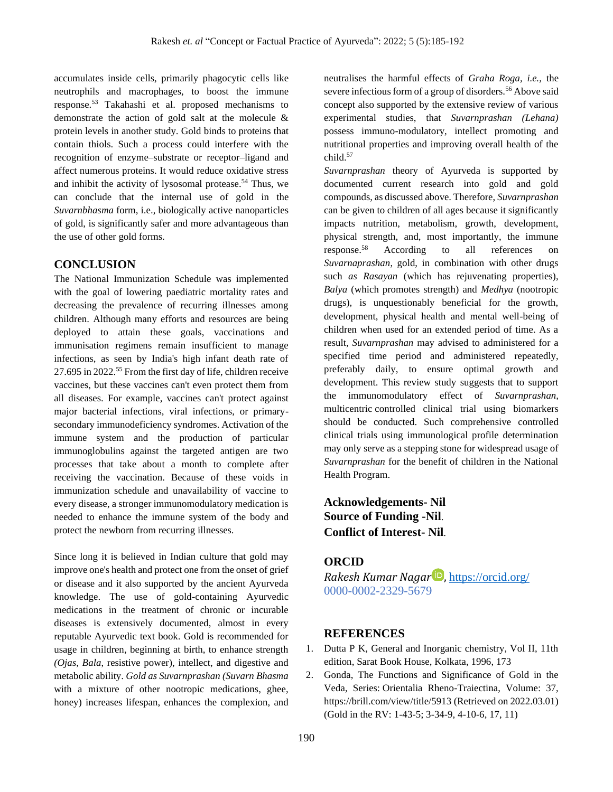accumulates inside cells, primarily phagocytic cells like neutrophils and macrophages, to boost the immune response.<sup>53</sup> Takahashi et al. proposed mechanisms to demonstrate the action of gold salt at the molecule & protein levels in another study. Gold binds to proteins that contain thiols. Such a process could interfere with the recognition of enzyme–substrate or receptor–ligand and affect numerous proteins. It would reduce oxidative stress and inhibit the activity of lysosomal protease.<sup>54</sup> Thus, we can conclude that the internal use of gold in the *Suvarnbhasma* form, i.e., biologically active nanoparticles of gold, is significantly safer and more advantageous than the use of other gold forms.

## **CONCLUSION**

The National Immunization Schedule was implemented with the goal of lowering paediatric mortality rates and decreasing the prevalence of recurring illnesses among children. Although many efforts and resources are being deployed to attain these goals, vaccinations and immunisation regimens remain insufficient to manage infections, as seen by India's high infant death rate of 27.695 in 2022.<sup>55</sup> From the first day of life, children receive vaccines, but these vaccines can't even protect them from all diseases. For example, vaccines can't protect against major bacterial infections, viral infections, or primarysecondary immunodeficiency syndromes. Activation of the immune system and the production of particular immunoglobulins against the targeted antigen are two processes that take about a month to complete after receiving the vaccination. Because of these voids in immunization schedule and unavailability of vaccine to every disease, a stronger immunomodulatory medication is needed to enhance the immune system of the body and protect the newborn from recurring illnesses.

Since long it is believed in Indian culture that gold may improve one's health and protect one from the onset of grief or disease and it also supported by the ancient Ayurveda knowledge. The use of gold-containing Ayurvedic medications in the treatment of chronic or incurable diseases is extensively documented, almost in every reputable Ayurvedic text book. Gold is recommended for usage in children, beginning at birth, to enhance strength *(Ojas, Bala*, resistive power), intellect, and digestive and metabolic ability. *Gold as Suvarnprashan (Suvarn Bhasma* with a mixture of other nootropic medications, ghee, honey) increases lifespan, enhances the complexion, and neutralises the harmful effects of *Graha Roga, i.e.,* the severe infectious form of a group of disorders.<sup>56</sup> Above said concept also supported by the extensive review of various experimental studies, that *Suvarnprashan (Lehana)* possess immuno-modulatory, intellect promoting and nutritional properties and improving overall health of the child.<sup>57</sup>

*Suvarnprashan* theory of Ayurveda is supported by documented current research into gold and gold compounds, as discussed above. Therefore, *Suvarnprashan*  can be given to children of all ages because it significantly impacts nutrition, metabolism, growth, development, physical strength, and, most importantly, the immune response.<sup>58</sup> According to all references on *Suvarnaprashan*, gold, in combination with other drugs such *as Rasayan* (which has rejuvenating properties), *Balya* (which promotes strength) and *Medhya* (nootropic drugs), is unquestionably beneficial for the growth, development, physical health and mental well-being of children when used for an extended period of time. As a result, *Suvarnprashan* may advised to administered for a specified time period and administered repeatedly, preferably daily, to ensure optimal growth and development. This review study suggests that to support the immunomodulatory effect of *Suvarnprashan,* multicentric controlled clinical trial using biomarkers should be conducted. Such comprehensive controlled clinical trials using immunological profile determination may only serve as a stepping stone for widespread usage of *Suvarnprashan* for the benefit of children in the National Health Program.

**Acknowledgements- Nil Source of Funding -Nil**. **Conflict of Interest- Nil**.

## **ORCID**

*Rakesh Kumar Nagar* , <https://orcid.org/> 0000-0002-2329-5679

## **REFERENCES**

- 1. Dutta P K, General and Inorganic chemistry, Vol II, 11th edition, Sarat Book House, Kolkata, 1996, 173
- 2. [Gonda,](https://brill.com/search?f_0=author&q_0=Gonda) The Functions and Significance of Gold in the Veda, Series: Orientalia [Rheno-Traiectina,](https://brill.com/view/serial/ORT) Volume: 37, <https://brill.com/view/title/5913> (Retrieved on 2022.03.01) (Gold in the RV: 1-43-5; 3-34-9, 4-10-6, 17, 11)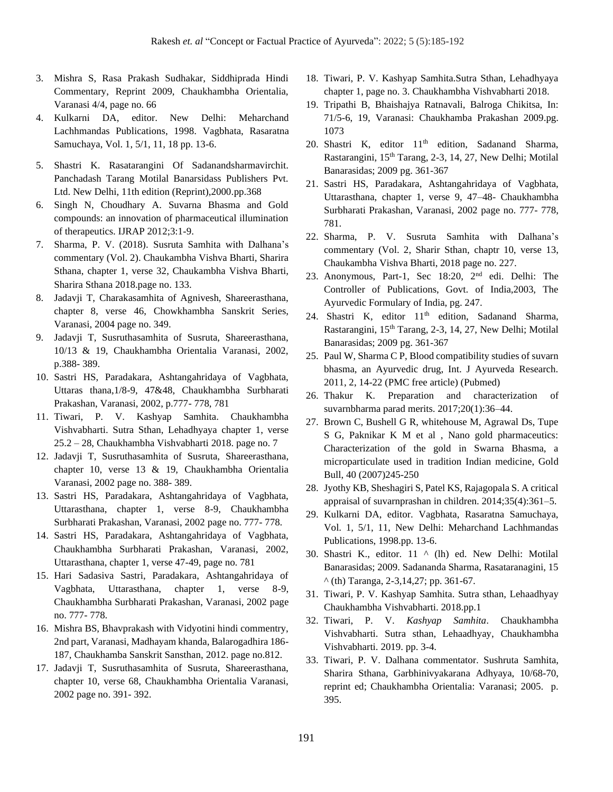- 3. Mishra S, Rasa Prakash Sudhakar, Siddhiprada Hindi Commentary, Reprint 2009, Chaukhambha Orientalia, Varanasi 4/4, page no. 66
- 4. Kulkarni DA, editor. New Delhi: Meharchand Lachhmandas Publications, 1998. Vagbhata, Rasaratna Samuchaya, Vol. 1, 5/1, 11, 18 pp. 13-6.
- 5. Shastri K. Rasatarangini Of Sadanandsharmavirchit. Panchadash Tarang Motilal Banarsidass Publishers Pvt. Ltd. New Delhi, 11th edition (Reprint),2000.pp.368
- 6. Singh N, Choudhary A. Suvarna Bhasma and Gold compounds: an innovation of pharmaceutical illumination of therapeutics. IJRAP 2012;3:1-9.
- 7. Sharma, P. V. (2018). Susruta Samhita with Dalhana's commentary (Vol. 2). Chaukambha Vishva Bharti, Sharira Sthana, chapter 1, verse 32, Chaukambha Vishva Bharti, Sharira Sthana 2018.page no. 133.
- 8. Jadavji T, Charakasamhita of Agnivesh, Shareerasthana, chapter 8, verse 46, Chowkhambha Sanskrit Series, Varanasi, 2004 page no. 349.
- 9. Jadavji T, Susruthasamhita of Susruta, Shareerasthana, 10/13 & 19, Chaukhambha Orientalia Varanasi, 2002, p.388- 389.
- 10. Sastri HS, Paradakara, Ashtangahridaya of Vagbhata, Uttaras thana,1/8-9, 47&48, Chaukhambha Surbharati Prakashan, Varanasi, 2002, p.777- 778, 781
- 11. Tiwari, P. V. Kashyap Samhita. Chaukhambha Vishvabharti. Sutra Sthan, Lehadhyaya chapter 1, verse 25.2 – 28, Chaukhambha Vishvabharti 2018. page no. 7
- 12. Jadavji T, Susruthasamhita of Susruta, Shareerasthana, chapter 10, verse 13 & 19, Chaukhambha Orientalia Varanasi, 2002 page no. 388- 389.
- 13. Sastri HS, Paradakara, Ashtangahridaya of Vagbhata, Uttarasthana, chapter 1, verse 8-9, Chaukhambha Surbharati Prakashan, Varanasi, 2002 page no. 777- 778.
- 14. Sastri HS, Paradakara, Ashtangahridaya of Vagbhata, Chaukhambha Surbharati Prakashan, Varanasi, 2002, Uttarasthana, chapter 1, verse 47-49, page no. 781
- 15. Hari Sadasiva Sastri, Paradakara, Ashtangahridaya of Vagbhata, Uttarasthana, chapter 1, verse 8-9, Chaukhambha Surbharati Prakashan, Varanasi, 2002 page no. 777- 778.
- 16. Mishra BS, Bhavprakash with Vidyotini hindi commentry, 2nd part, Varanasi, Madhayam khanda, Balarogadhira 186- 187, Chaukhamba Sanskrit Sansthan, 2012. page no.812.
- 17. Jadavji T, Susruthasamhita of Susruta, Shareerasthana, chapter 10, verse 68, Chaukhambha Orientalia Varanasi, 2002 page no. 391- 392.
- 18. Tiwari, P. V. Kashyap Samhita.Sutra Sthan, Lehadhyaya chapter 1, page no. 3. Chaukhambha Vishvabharti 2018.
- 19. Tripathi B, Bhaishajya Ratnavali, Balroga Chikitsa, In: 71/5-6, 19, Varanasi: Chaukhamba Prakashan 2009.pg. 1073
- 20. Shastri K, editor  $11<sup>th</sup>$  edition, Sadanand Sharma, Rastarangini, 15th Tarang, 2-3, 14, 27, New Delhi; Motilal Banarasidas; 2009 pg. 361-367
- 21. Sastri HS, Paradakara, Ashtangahridaya of Vagbhata, Uttarasthana, chapter 1, verse 9, 47–48- Chaukhambha Surbharati Prakashan, Varanasi, 2002 page no. 777- 778, 781.
- 22. Sharma, P. V. Susruta Samhita with Dalhana's commentary (Vol. 2, Sharir Sthan, chaptr 10, verse 13, Chaukambha Vishva Bharti, 2018 page no. 227.
- 23. Anonymous, Part-1, Sec 18:20, 2nd edi. Delhi: The Controller of Publications, Govt. of India,2003, The Ayurvedic Formulary of India, pg. 247.
- 24. Shastri K, editor  $11<sup>th</sup>$  edition, Sadanand Sharma, Rastarangini, 15<sup>th</sup> Tarang, 2-3, 14, 27, New Delhi; Motilal Banarasidas; 2009 pg. 361-367
- 25. Paul W, Sharma C P, Blood compatibility studies of suvarn bhasma, an Ayurvedic drug, Int. J Ayurveda Research. 2011, 2, 14-22 (PMC free article) (Pubmed)
- 26. Thakur K. Preparation and characterization of suvarnbharma parad merits. 2017;20(1):36–44.
- 27. Brown C, Bushell G R, whitehouse M, Agrawal Ds, Tupe S G, Paknikar K M et al , Nano gold pharmaceutics: Characterization of the gold in Swarna Bhasma, a microparticulate used in tradition Indian medicine, Gold Bull, 40 (2007)245-250
- 28. Jyothy KB, Sheshagiri S, Patel KS, Rajagopala S. A critical appraisal of suvarnprashan in children. 2014;35(4):361–5.
- 29. Kulkarni DA, editor. Vagbhata, Rasaratna Samuchaya, Vol. 1, 5/1, 11, New Delhi: Meharchand Lachhmandas Publications, 1998.pp. 13-6.
- 30. Shastri K., editor. 11 ^ (lh) ed. New Delhi: Motilal Banarasidas; 2009. Sadananda Sharma, Rasataranagini, 15 ^ (th) Taranga, 2-3,14,27; pp. 361-67.
- 31. Tiwari, P. V. Kashyap Samhita. Sutra sthan, Lehaadhyay Chaukhambha Vishvabharti. 2018.pp.1
- 32. Tiwari, P. V. *Kashyap Samhita*. Chaukhambha Vishvabharti. Sutra sthan, Lehaadhyay, Chaukhambha Vishvabharti. 2019. pp. 3-4.
- 33. Tiwari, P. V. Dalhana commentator. Sushruta Samhita, Sharira Sthana, Garbhinivyakarana Adhyaya, 10/68-70, reprint ed; Chaukhambha Orientalia: Varanasi; 2005. p. 395.